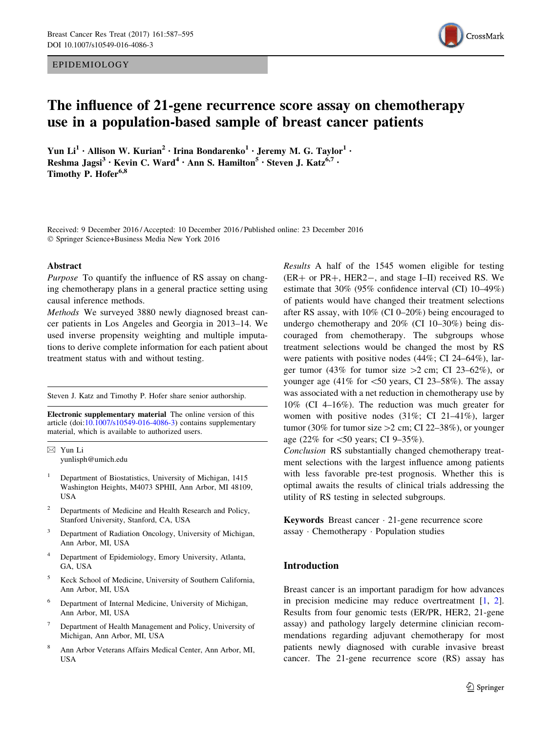EPIDEMIOLOGY



# The influence of 21-gene recurrence score assay on chemotherapy use in a population-based sample of breast cancer patients

Yun  $Li^1 \cdot$  Allison W. Kurian<sup>2</sup> • Irina Bondarenko<sup>1</sup> • Jeremy M. G. Taylor<sup>1</sup> • Reshma Jagsi<sup>3</sup> • Kevin C. Ward<sup>4</sup> • Ann S. Hamilton<sup>5</sup> • Steven J. Katz<sup>6,7</sup> • Timothy P. Hofer<sup>6,8</sup>

Received: 9 December 2016 / Accepted: 10 December 2016 / Published online: 23 December 2016 - Springer Science+Business Media New York 2016

#### Abstract

Purpose To quantify the influence of RS assay on changing chemotherapy plans in a general practice setting using causal inference methods.

Methods We surveyed 3880 newly diagnosed breast cancer patients in Los Angeles and Georgia in 2013–14. We used inverse propensity weighting and multiple imputations to derive complete information for each patient about treatment status with and without testing.

Steven J. Katz and Timothy P. Hofer share senior authorship.

Electronic supplementary material The online version of this article (doi:[10.1007/s10549-016-4086-3\)](http://dx.doi.org/10.1007/s10549-016-4086-3) contains supplementary material, which is available to authorized users.

- <sup>1</sup> Department of Biostatistics, University of Michigan, 1415 Washington Heights, M4073 SPHII, Ann Arbor, MI 48109, USA
- <sup>2</sup> Departments of Medicine and Health Research and Policy, Stanford University, Stanford, CA, USA
- Department of Radiation Oncology, University of Michigan, Ann Arbor, MI, USA
- Department of Epidemiology, Emory University, Atlanta, GA, USA
- <sup>5</sup> Keck School of Medicine, University of Southern California, Ann Arbor, MI, USA
- Department of Internal Medicine, University of Michigan, Ann Arbor, MI, USA
- <sup>7</sup> Department of Health Management and Policy, University of Michigan, Ann Arbor, MI, USA
- <sup>8</sup> Ann Arbor Veterans Affairs Medical Center, Ann Arbor, MI, USA

Results A half of the 1545 women eligible for testing  $(ER + or PR +, HER2-, and stage I-II) received RS. We$ estimate that 30% (95% confidence interval (CI) 10–49%) of patients would have changed their treatment selections after RS assay, with 10% (CI 0–20%) being encouraged to undergo chemotherapy and 20% (CI 10–30%) being discouraged from chemotherapy. The subgroups whose treatment selections would be changed the most by RS were patients with positive nodes (44%; CI 24–64%), larger tumor (43% for tumor size  $>2$  cm; CI 23–62%), or younger age (41% for  $\leq 50$  years, CI 23–58%). The assay was associated with a net reduction in chemotherapy use by 10% (CI 4–16%). The reduction was much greater for women with positive nodes (31%; CI 21–41%), larger tumor (30% for tumor size  $>2$  cm; CI 22–38%), or younger age (22% for  $\lt 50$  years; CI 9–35%).

Conclusion RS substantially changed chemotherapy treatment selections with the largest influence among patients with less favorable pre-test prognosis. Whether this is optimal awaits the results of clinical trials addressing the utility of RS testing in selected subgroups.

Keywords Breast cancer - 21-gene recurrence score assay - Chemotherapy - Population studies

## Introduction

Breast cancer is an important paradigm for how advances in precision medicine may reduce overtreatment [[1,](#page-8-0) [2](#page-8-0)]. Results from four genomic tests (ER/PR, HER2, 21-gene assay) and pathology largely determine clinician recommendations regarding adjuvant chemotherapy for most patients newly diagnosed with curable invasive breast cancer. The 21-gene recurrence score (RS) assay has

 $\boxtimes$  Yun Li yunlisph@umich.edu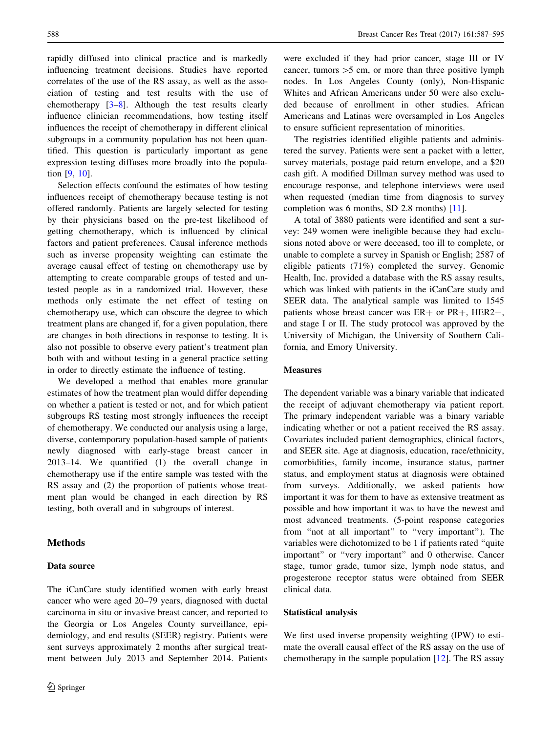<span id="page-1-0"></span>rapidly diffused into clinical practice and is markedly influencing treatment decisions. Studies have reported correlates of the use of the RS assay, as well as the association of testing and test results with the use of chemotherapy [[3–8\]](#page-8-0). Although the test results clearly influence clinician recommendations, how testing itself influences the receipt of chemotherapy in different clinical subgroups in a community population has not been quantified. This question is particularly important as gene expression testing diffuses more broadly into the population [\[9](#page-8-0), [10](#page-8-0)].

Selection effects confound the estimates of how testing influences receipt of chemotherapy because testing is not offered randomly. Patients are largely selected for testing by their physicians based on the pre-test likelihood of getting chemotherapy, which is influenced by clinical factors and patient preferences. Causal inference methods such as inverse propensity weighting can estimate the average causal effect of testing on chemotherapy use by attempting to create comparable groups of tested and untested people as in a randomized trial. However, these methods only estimate the net effect of testing on chemotherapy use, which can obscure the degree to which treatment plans are changed if, for a given population, there are changes in both directions in response to testing. It is also not possible to observe every patient's treatment plan both with and without testing in a general practice setting in order to directly estimate the influence of testing.

We developed a method that enables more granular estimates of how the treatment plan would differ depending on whether a patient is tested or not, and for which patient subgroups RS testing most strongly influences the receipt of chemotherapy. We conducted our analysis using a large, diverse, contemporary population-based sample of patients newly diagnosed with early-stage breast cancer in 2013–14. We quantified (1) the overall change in chemotherapy use if the entire sample was tested with the RS assay and (2) the proportion of patients whose treatment plan would be changed in each direction by RS testing, both overall and in subgroups of interest.

## **Methods**

## Data source

The iCanCare study identified women with early breast cancer who were aged 20–79 years, diagnosed with ductal carcinoma in situ or invasive breast cancer, and reported to the Georgia or Los Angeles County surveillance, epidemiology, and end results (SEER) registry. Patients were sent surveys approximately 2 months after surgical treatment between July 2013 and September 2014. Patients

were excluded if they had prior cancer, stage III or IV cancer, tumors  $>5$  cm, or more than three positive lymph nodes. In Los Angeles County (only), Non-Hispanic Whites and African Americans under 50 were also excluded because of enrollment in other studies. African Americans and Latinas were oversampled in Los Angeles to ensure sufficient representation of minorities.

The registries identified eligible patients and administered the survey. Patients were sent a packet with a letter, survey materials, postage paid return envelope, and a \$20 cash gift. A modified Dillman survey method was used to encourage response, and telephone interviews were used when requested (median time from diagnosis to survey completion was 6 months, SD 2.8 months) [\[11](#page-8-0)].

A total of 3880 patients were identified and sent a survey: 249 women were ineligible because they had exclusions noted above or were deceased, too ill to complete, or unable to complete a survey in Spanish or English; 2587 of eligible patients (71%) completed the survey. Genomic Health, Inc. provided a database with the RS assay results, which was linked with patients in the iCanCare study and SEER data. The analytical sample was limited to 1545 patients whose breast cancer was  $ER+$  or  $PR+$ ,  $HER2-$ , and stage I or II. The study protocol was approved by the University of Michigan, the University of Southern California, and Emory University.

# Measures

The dependent variable was a binary variable that indicated the receipt of adjuvant chemotherapy via patient report. The primary independent variable was a binary variable indicating whether or not a patient received the RS assay. Covariates included patient demographics, clinical factors, and SEER site. Age at diagnosis, education, race/ethnicity, comorbidities, family income, insurance status, partner status, and employment status at diagnosis were obtained from surveys. Additionally, we asked patients how important it was for them to have as extensive treatment as possible and how important it was to have the newest and most advanced treatments. (5-point response categories from "not at all important" to "very important"). The variables were dichotomized to be 1 if patients rated ''quite important" or "very important" and 0 otherwise. Cancer stage, tumor grade, tumor size, lymph node status, and progesterone receptor status were obtained from SEER clinical data.

#### Statistical analysis

We first used inverse propensity weighting (IPW) to estimate the overall causal effect of the RS assay on the use of chemotherapy in the sample population  $[12]$  $[12]$ . The RS assay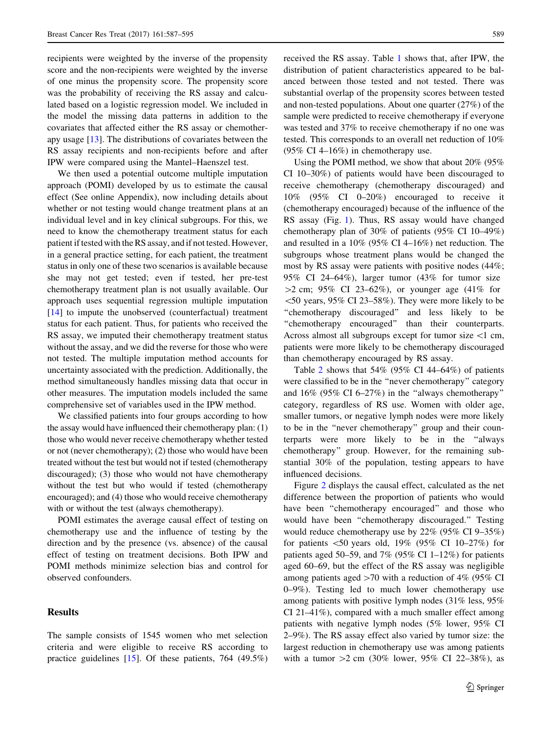recipients were weighted by the inverse of the propensity score and the non-recipients were weighted by the inverse of one minus the propensity score. The propensity score was the probability of receiving the RS assay and calculated based on a logistic regression model. We included in the model the missing data patterns in addition to the covariates that affected either the RS assay or chemotherapy usage [[13\]](#page-8-0). The distributions of covariates between the RS assay recipients and non-recipients before and after IPW were compared using the Mantel–Haenszel test.

We then used a potential outcome multiple imputation approach (POMI) developed by us to estimate the causal effect (See online Appendix), now including details about whether or not testing would change treatment plans at an individual level and in key clinical subgroups. For this, we need to know the chemotherapy treatment status for each patient if tested with the RS assay, and if not tested. However, in a general practice setting, for each patient, the treatment status in only one of these two scenarios is available because she may not get tested; even if tested, her pre-test chemotherapy treatment plan is not usually available. Our approach uses sequential regression multiple imputation [\[14](#page-8-0)] to impute the unobserved (counterfactual) treatment status for each patient. Thus, for patients who received the RS assay, we imputed their chemotherapy treatment status without the assay, and we did the reverse for those who were not tested. The multiple imputation method accounts for uncertainty associated with the prediction. Additionally, the method simultaneously handles missing data that occur in other measures. The imputation models included the same comprehensive set of variables used in the IPW method.

We classified patients into four groups according to how the assay would have influenced their chemotherapy plan: (1) those who would never receive chemotherapy whether tested or not (never chemotherapy); (2) those who would have been treated without the test but would not if tested (chemotherapy discouraged); (3) those who would not have chemotherapy without the test but who would if tested (chemotherapy encouraged); and (4) those who would receive chemotherapy with or without the test (always chemotherapy).

POMI estimates the average causal effect of testing on chemotherapy use and the influence of testing by the direction and by the presence (vs. absence) of the causal effect of testing on treatment decisions. Both IPW and POMI methods minimize selection bias and control for observed confounders.

# Results

The sample consists of 1545 women who met selection criteria and were eligible to receive RS according to practice guidelines  $[15]$  $[15]$  $[15]$ . Of these patients, 764 (49.5%) received the RS assay. Table [1](#page-3-0) shows that, after IPW, the distribution of patient characteristics appeared to be balanced between those tested and not tested. There was substantial overlap of the propensity scores between tested and non-tested populations. About one quarter (27%) of the sample were predicted to receive chemotherapy if everyone was tested and 37% to receive chemotherapy if no one was tested. This corresponds to an overall net reduction of 10% (95% CI 4–16%) in chemotherapy use.

Using the POMI method, we show that about 20% (95% CI 10–30%) of patients would have been discouraged to receive chemotherapy (chemotherapy discouraged) and 10% (95% CI 0–20%) encouraged to receive it (chemotherapy encouraged) because of the influence of the RS assay (Fig. [1\)](#page-5-0). Thus, RS assay would have changed chemotherapy plan of 30% of patients (95% CI 10–49%) and resulted in a 10% (95% CI 4–16%) net reduction. The subgroups whose treatment plans would be changed the most by RS assay were patients with positive nodes (44%; 95% CI 24–64%), larger tumor (43% for tumor size  $>2$  cm; 95% CI 23–62%), or younger age (41% for  $\leq$ 50 years, 95% CI 23–58%). They were more likely to be ''chemotherapy discouraged'' and less likely to be ''chemotherapy encouraged'' than their counterparts. Across almost all subgroups except for tumor size  $\leq 1$  cm, patients were more likely to be chemotherapy discouraged than chemotherapy encouraged by RS assay.

Table [2](#page-6-0) shows that  $54\%$  (95% CI 44–64%) of patients were classified to be in the ''never chemotherapy'' category and 16% (95% CI 6–27%) in the ''always chemotherapy'' category, regardless of RS use. Women with older age, smaller tumors, or negative lymph nodes were more likely to be in the ''never chemotherapy'' group and their counterparts were more likely to be in the ''always chemotherapy'' group. However, for the remaining substantial 30% of the population, testing appears to have influenced decisions.

Figure [2](#page-7-0) displays the causal effect, calculated as the net difference between the proportion of patients who would have been ''chemotherapy encouraged'' and those who would have been ''chemotherapy discouraged.'' Testing would reduce chemotherapy use by 22% (95% CI 9–35%) for patients  $\leq 50$  years old, 19% (95% CI 10–27%) for patients aged 50–59, and 7% (95% CI 1–12%) for patients aged 60–69, but the effect of the RS assay was negligible among patients aged  $>70$  with a reduction of 4% (95% CI 0–9%). Testing led to much lower chemotherapy use among patients with positive lymph nodes (31% less, 95% CI 21–41%), compared with a much smaller effect among patients with negative lymph nodes (5% lower, 95% CI 2–9%). The RS assay effect also varied by tumor size: the largest reduction in chemotherapy use was among patients with a tumor  $>2$  cm (30% lower, 95% CI 22–38%), as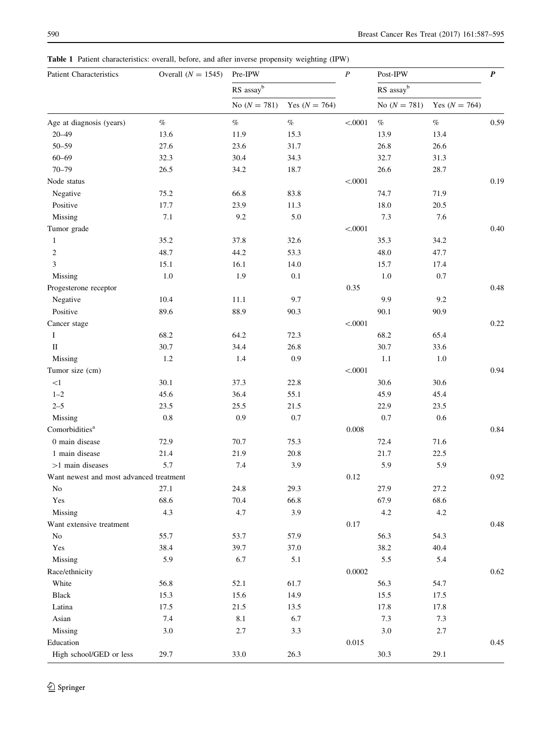<span id="page-3-0"></span>Table 1 Patient characteristics: overall, before, and after inverse propensity weighting (IPW)

| Patient Characteristics                 | Overall $(N = 1545)$ | Pre-IPW<br>RS assayb     |          | $\boldsymbol{P}$ | Post-IPW<br>$\ensuremath{\mathsf{RS}}\xspace$ assay $^{\mathrm{b}}$ |         | $\boldsymbol{P}$ |
|-----------------------------------------|----------------------|--------------------------|----------|------------------|---------------------------------------------------------------------|---------|------------------|
|                                         |                      |                          |          |                  |                                                                     |         |                  |
|                                         |                      | Age at diagnosis (years) | $\%$     | $\%$             | $\%$                                                                | < .0001 | $\%$             |
| $20 - 49$                               | 13.6                 | 11.9                     | 15.3     |                  | 13.9                                                                | 13.4    |                  |
| $50 - 59$                               | 27.6                 | 23.6                     | 31.7     |                  | 26.8                                                                | 26.6    |                  |
| $60 - 69$                               | 32.3                 | 30.4                     | 34.3     |                  | 32.7                                                                | 31.3    |                  |
| $70 - 79$                               | 26.5                 | 34.2                     | 18.7     |                  | 26.6                                                                | 28.7    |                  |
| Node status                             |                      |                          |          | < .0001          |                                                                     |         | 0.19             |
| Negative                                | 75.2                 | 66.8                     | 83.8     |                  | 74.7                                                                | 71.9    |                  |
| Positive                                | 17.7                 | 23.9                     | 11.3     |                  | 18.0                                                                | 20.5    |                  |
| Missing                                 | 7.1                  | 9.2                      | 5.0      |                  | 7.3                                                                 | 7.6     |                  |
| Tumor grade                             |                      |                          |          | < .0001          |                                                                     |         | 0.40             |
| $\mathbf{1}$                            | 35.2                 | 37.8                     | 32.6     |                  | 35.3                                                                | 34.2    |                  |
| $\overline{c}$                          | 48.7                 | 44.2                     | 53.3     |                  | 48.0                                                                | 47.7    |                  |
| 3                                       | 15.1                 | 16.1                     | 14.0     |                  | 15.7                                                                | 17.4    |                  |
| Missing                                 | $1.0\,$              | 1.9                      | 0.1      |                  | 1.0                                                                 | $0.7\,$ |                  |
| Progesterone receptor                   |                      |                          |          | 0.35             |                                                                     |         | 0.48             |
| Negative                                | 10.4                 | 11.1                     | 9.7      |                  | 9.9                                                                 | 9.2     |                  |
| Positive                                | 89.6                 | 88.9                     | 90.3     |                  | 90.1                                                                | 90.9    |                  |
| Cancer stage                            |                      |                          |          | < .0001          |                                                                     |         | 0.22             |
| $\bf{I}$                                | 68.2                 | 64.2                     | 72.3     |                  | 68.2                                                                | 65.4    |                  |
| $\rm II$                                | 30.7                 | 34.4                     | 26.8     |                  | 30.7                                                                | 33.6    |                  |
| Missing                                 | 1.2                  | 1.4                      | 0.9      |                  | 1.1                                                                 | $1.0\,$ |                  |
| Tumor size (cm)                         |                      |                          |          | < .0001          |                                                                     |         | 0.94             |
| $<1\,$                                  | 30.1                 | 37.3                     | 22.8     |                  | 30.6                                                                | 30.6    |                  |
| $1 - 2$                                 | 45.6                 | 36.4                     | 55.1     |                  | 45.9                                                                | 45.4    |                  |
| $2 - 5$                                 | 23.5                 | 25.5                     | 21.5     |                  | 22.9                                                                | 23.5    |                  |
| Missing                                 | 0.8                  | 0.9                      | $0.7\,$  |                  | 0.7                                                                 | 0.6     |                  |
| Comorbidities <sup>a</sup>              |                      |                          |          | 0.008            |                                                                     |         | 0.84             |
| 0 main disease                          | 72.9                 | 70.7                     | 75.3     |                  | 72.4                                                                | 71.6    |                  |
| 1 main disease                          | 21.4                 | 21.9                     | $20.8\,$ |                  | 21.7                                                                | 22.5    |                  |
| $>1$ main diseases                      | 5.7                  | 7.4                      | 3.9      |                  | 5.9                                                                 | 5.9     |                  |
| Want newest and most advanced treatment |                      |                          |          | 0.12             |                                                                     |         | 0.92             |
| $\rm No$                                | 27.1                 | 24.8                     | 29.3     |                  | 27.9                                                                | 27.2    |                  |
| Yes                                     | 68.6                 | 70.4                     | 66.8     |                  | 67.9                                                                | 68.6    |                  |
| Missing                                 | 4.3                  | 4.7                      | 3.9      |                  | $4.2\,$                                                             | 4.2     |                  |
| Want extensive treatment                |                      |                          |          | 0.17             |                                                                     |         | 0.48             |
| No                                      | 55.7                 | 53.7                     | 57.9     |                  | 56.3                                                                | 54.3    |                  |
| Yes                                     | 38.4                 | 39.7                     | 37.0     |                  | 38.2                                                                | 40.4    |                  |
| Missing                                 | 5.9                  | 6.7                      | 5.1      |                  | 5.5                                                                 | 5.4     |                  |
| Race/ethnicity                          |                      |                          |          | 0.0002           |                                                                     |         | 0.62             |
| White                                   | 56.8                 | 52.1                     | 61.7     |                  | 56.3                                                                | 54.7    |                  |
| Black                                   | 15.3                 | 15.6                     | 14.9     |                  | 15.5                                                                | 17.5    |                  |
| Latina                                  | 17.5                 | 21.5                     | 13.5     |                  | 17.8                                                                | 17.8    |                  |
| Asian                                   | $7.4\,$              | $8.1\,$                  | 6.7      |                  | 7.3                                                                 | 7.3     |                  |
| Missing                                 | $3.0\,$              | $2.7\,$                  | 3.3      |                  | $3.0\,$                                                             | $2.7\,$ |                  |
| Education                               |                      |                          |          | $0.015\,$        |                                                                     |         | 0.45             |
| High school/GED or less                 | 29.7                 | 33.0                     | 26.3     |                  | 30.3                                                                | 29.1    |                  |
|                                         |                      |                          |          |                  |                                                                     |         |                  |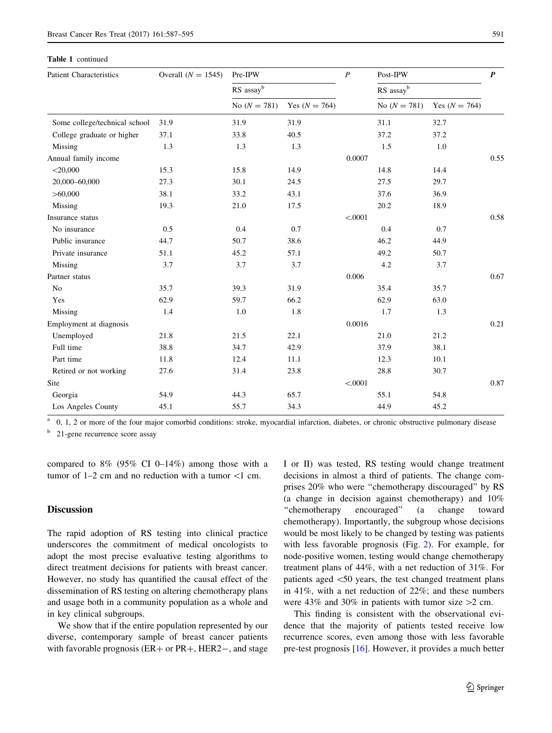#### Table 1 continued

| Patient Characteristics    | Overall $(N = 1545)$ | Pre-IPW<br>RS assayb          |      | $\boldsymbol{P}$ | Post-IPW<br>RS assay <sup>b</sup> |      | $\boldsymbol{P}$ |
|----------------------------|----------------------|-------------------------------|------|------------------|-----------------------------------|------|------------------|
|                            |                      |                               |      |                  |                                   |      |                  |
|                            |                      | Some college/technical school | 31.9 | 31.9             | 31.9                              |      | 31.1             |
| College graduate or higher | 37.1                 | 33.8                          | 40.5 |                  | 37.2                              | 37.2 |                  |
| Missing                    | 1.3                  | 1.3                           | 1.3  |                  | 1.5                               | 1.0  |                  |
| Annual family income       |                      |                               |      | 0.0007           |                                   |      | 0.55             |
| $<$ 20,000                 | 15.3                 | 15.8                          | 14.9 |                  | 14.8                              | 14.4 |                  |
| 20,000-60,000              | 27.3                 | 30.1                          | 24.5 |                  | 27.5                              | 29.7 |                  |
| >60,000                    | 38.1                 | 33.2                          | 43.1 |                  | 37.6                              | 36.9 |                  |
| Missing                    | 19.3                 | 21.0                          | 17.5 |                  | 20.2                              | 18.9 |                  |
| Insurance status           |                      |                               |      | < .0001          |                                   |      | 0.58             |
| No insurance               | 0.5                  | 0.4                           | 0.7  |                  | 0.4                               | 0.7  |                  |
| Public insurance           | 44.7                 | 50.7                          | 38.6 |                  | 46.2                              | 44.9 |                  |
| Private insurance          | 51.1                 | 45.2                          | 57.1 |                  | 49.2                              | 50.7 |                  |
| Missing                    | 3.7                  | 3.7                           | 3.7  |                  | 4.2                               | 3.7  |                  |
| Partner status             |                      |                               |      | 0.006            |                                   |      | 0.67             |
| N <sub>0</sub>             | 35.7                 | 39.3                          | 31.9 |                  | 35.4                              | 35.7 |                  |
| Yes                        | 62.9                 | 59.7                          | 66.2 |                  | 62.9                              | 63.0 |                  |
| Missing                    | 1.4                  | 1.0                           | 1.8  |                  | 1.7                               | 1.3  |                  |
| Employment at diagnosis    |                      |                               |      | 0.0016           |                                   |      | 0.21             |
| Unemployed                 | 21.8                 | 21.5                          | 22.1 |                  | 21.0                              | 21.2 |                  |
| Full time                  | 38.8                 | 34.7                          | 42.9 |                  | 37.9                              | 38.1 |                  |
| Part time                  | 11.8                 | 12.4                          | 11.1 |                  | 12.3                              | 10.1 |                  |
| Retired or not working     | 27.6                 | 31.4                          | 23.8 |                  | 28.8                              | 30.7 |                  |
| Site                       |                      |                               |      | < .0001          |                                   |      | 0.87             |
| Georgia                    | 54.9                 | 44.3                          | 65.7 |                  | 55.1                              | 54.8 |                  |
| Los Angeles County         | 45.1                 | 55.7                          | 34.3 |                  | 44.9                              | 45.2 |                  |

<sup>a</sup> 0, 1, 2 or more of the four major comorbid conditions: stroke, myocardial infarction, diabetes, or chronic obstructive pulmonary disease

<sup>b</sup> 21-gene recurrence score assay

compared to  $8\%$  (95% CI 0–14%) among those with a tumor of  $1-2$  cm and no reduction with a tumor  $\lt 1$  cm.

# Discussion

The rapid adoption of RS testing into clinical practice underscores the commitment of medical oncologists to adopt the most precise evaluative testing algorithms to direct treatment decisions for patients with breast cancer. However, no study has quantified the causal effect of the dissemination of RS testing on altering chemotherapy plans and usage both in a community population as a whole and in key clinical subgroups.

We show that if the entire population represented by our diverse, contemporary sample of breast cancer patients with favorable prognosis ( $ER+$  or  $PR+$ ,  $HER2-$ , and stage I or II) was tested, RS testing would change treatment decisions in almost a third of patients. The change comprises 20% who were ''chemotherapy discouraged'' by RS (a change in decision against chemotherapy) and 10% ''chemotherapy encouraged'' (a change toward chemotherapy). Importantly, the subgroup whose decisions would be most likely to be changed by testing was patients with less favorable prognosis (Fig. [2](#page-7-0)). For example, for node-positive women, testing would change chemotherapy treatment plans of 44%, with a net reduction of 31%. For patients aged \50 years, the test changed treatment plans in 41%, with a net reduction of 22%; and these numbers were 43% and 30% in patients with tumor size  $>2$  cm.

This finding is consistent with the observational evidence that the majority of patients tested receive low recurrence scores, even among those with less favorable pre-test prognosis [[16\]](#page-8-0). However, it provides a much better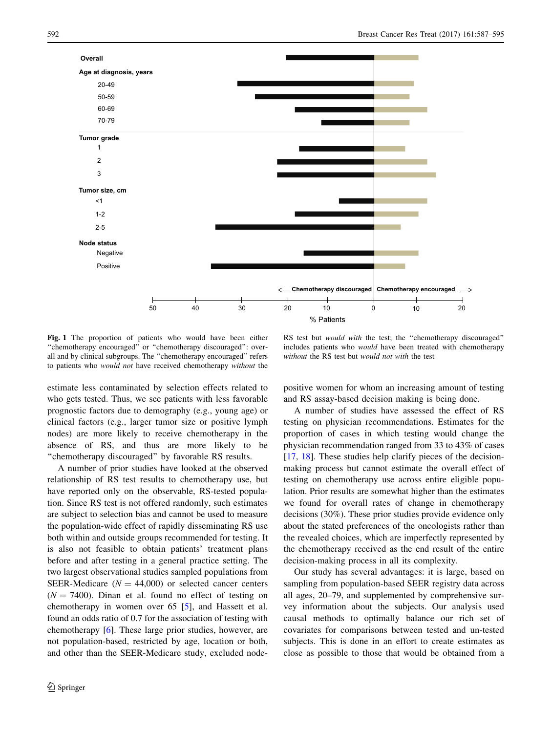<span id="page-5-0"></span>

Fig. 1 The proportion of patients who would have been either ''chemotherapy encouraged'' or ''chemotherapy discouraged'': overall and by clinical subgroups. The ''chemotherapy encouraged'' refers to patients who would not have received chemotherapy without the

RS test but would with the test; the ''chemotherapy discouraged'' includes patients who would have been treated with chemotherapy without the RS test but would not with the test

estimate less contaminated by selection effects related to who gets tested. Thus, we see patients with less favorable prognostic factors due to demography (e.g., young age) or clinical factors (e.g., larger tumor size or positive lymph nodes) are more likely to receive chemotherapy in the absence of RS, and thus are more likely to be ''chemotherapy discouraged'' by favorable RS results.

A number of prior studies have looked at the observed relationship of RS test results to chemotherapy use, but have reported only on the observable, RS-tested population. Since RS test is not offered randomly, such estimates are subject to selection bias and cannot be used to measure the population-wide effect of rapidly disseminating RS use both within and outside groups recommended for testing. It is also not feasible to obtain patients' treatment plans before and after testing in a general practice setting. The two largest observational studies sampled populations from SEER-Medicare  $(N = 44,000)$  or selected cancer centers  $(N = 7400)$ . Dinan et al. found no effect of testing on chemotherapy in women over 65 [\[5](#page-8-0)], and Hassett et al. found an odds ratio of 0.7 for the association of testing with chemotherapy [[6\]](#page-8-0). These large prior studies, however, are not population-based, restricted by age, location or both, and other than the SEER-Medicare study, excluded nodepositive women for whom an increasing amount of testing and RS assay-based decision making is being done.

A number of studies have assessed the effect of RS testing on physician recommendations. Estimates for the proportion of cases in which testing would change the physician recommendation ranged from 33 to 43% of cases [\[17](#page-8-0), [18](#page-8-0)]. These studies help clarify pieces of the decisionmaking process but cannot estimate the overall effect of testing on chemotherapy use across entire eligible population. Prior results are somewhat higher than the estimates we found for overall rates of change in chemotherapy decisions (30%). These prior studies provide evidence only about the stated preferences of the oncologists rather than the revealed choices, which are imperfectly represented by the chemotherapy received as the end result of the entire decision-making process in all its complexity.

Our study has several advantages: it is large, based on sampling from population-based SEER registry data across all ages, 20–79, and supplemented by comprehensive survey information about the subjects. Our analysis used causal methods to optimally balance our rich set of covariates for comparisons between tested and un-tested subjects. This is done in an effort to create estimates as close as possible to those that would be obtained from a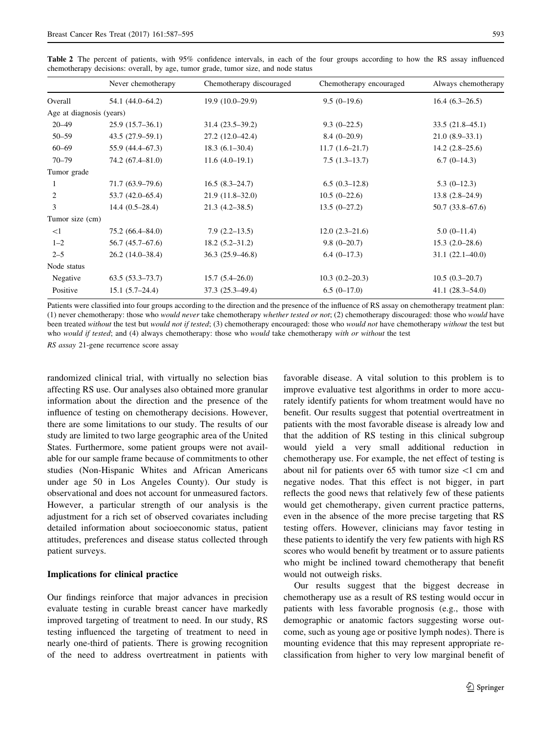<span id="page-6-0"></span>Table 2 The percent of patients, with 95% confidence intervals, in each of the four groups according to how the RS assay influenced chemotherapy decisions: overall, by age, tumor grade, tumor size, and node status

|                          | Never chemotherapy  | Chemotherapy discouraged | Chemotherapy encouraged | Always chemotherapy |
|--------------------------|---------------------|--------------------------|-------------------------|---------------------|
| Overall                  | 54.1 (44.0–64.2)    | $19.9(10.0-29.9)$        | $9.5(0-19.6)$           | $16.4(6.3-26.5)$    |
| Age at diagnosis (years) |                     |                          |                         |                     |
| $20 - 49$                | $25.9(15.7-36.1)$   | $31.4(23.5-39.2)$        | $9.3(0-22.5)$           | $33.5(21.8-45.1)$   |
| $50 - 59$                | $43.5(27.9-59.1)$   | $27.2(12.0-42.4)$        | $8.4(0-20.9)$           | $21.0(8.9-33.1)$    |
| $60 - 69$                | $55.9(44.4 - 67.3)$ | $18.3(6.1-30.4)$         | $11.7(1.6-21.7)$        | $14.2(2.8-25.6)$    |
| $70 - 79$                | $74.2(67.4 - 81.0)$ | $11.6(4.0-19.1)$         | $7.5(1.3-13.7)$         | $6.7(0-14.3)$       |
| Tumor grade              |                     |                          |                         |                     |
| 1                        | 71.7 (63.9–79.6)    | $16.5(8.3-24.7)$         | $6.5(0.3-12.8)$         | $5.3(0-12.3)$       |
| 2                        | $53.7(42.0 - 65.4)$ | $21.9(11.8-32.0)$        | $10.5(0-22.6)$          | $13.8(2.8-24.9)$    |
| 3                        | $14.4(0.5-28.4)$    | $21.3(4.2 - 38.5)$       | $13.5(0-27.2)$          | $50.7(33.8 - 67.6)$ |
| Tumor size (cm)          |                     |                          |                         |                     |
| $\leq$ 1                 | $75.2(66.4 - 84.0)$ | $7.9(2.2-13.5)$          | $12.0(2.3-21.6)$        | $5.0(0-11.4)$       |
| $1 - 2$                  | $56.7(45.7 - 67.6)$ | $18.2(5.2 - 31.2)$       | $9.8(0-20.7)$           | $15.3(2.0-28.6)$    |
| $2 - 5$                  | $26.2(14.0-38.4)$   | $36.3(25.9-46.8)$        | $6.4(0-17.3)$           | $31.1(22.1 - 40.0)$ |
| Node status              |                     |                          |                         |                     |
| Negative                 | $63.5(53.3-73.7)$   | $15.7(5.4-26.0)$         | $10.3(0.2 - 20.3)$      | $10.5(0.3-20.7)$    |
| Positive                 | $15.1(5.7-24.4)$    | $37.3(25.3 - 49.4)$      | $6.5(0-17.0)$           | $41.1(28.3 - 54.0)$ |
|                          |                     |                          |                         |                     |

Patients were classified into four groups according to the direction and the presence of the influence of RS assay on chemotherapy treatment plan: (1) never chemotherapy: those who would never take chemotherapy whether tested or not; (2) chemotherapy discouraged: those who would have been treated without the test but would not if tested; (3) chemotherapy encouraged: those who would not have chemotherapy without the test but who would if tested; and (4) always chemotherapy: those who would take chemotherapy with or without the test

RS assay 21-gene recurrence score assay

randomized clinical trial, with virtually no selection bias affecting RS use. Our analyses also obtained more granular information about the direction and the presence of the influence of testing on chemotherapy decisions. However, there are some limitations to our study. The results of our study are limited to two large geographic area of the United States. Furthermore, some patient groups were not available for our sample frame because of commitments to other studies (Non-Hispanic Whites and African Americans under age 50 in Los Angeles County). Our study is observational and does not account for unmeasured factors. However, a particular strength of our analysis is the adjustment for a rich set of observed covariates including detailed information about socioeconomic status, patient attitudes, preferences and disease status collected through patient surveys.

#### Implications for clinical practice

Our findings reinforce that major advances in precision evaluate testing in curable breast cancer have markedly improved targeting of treatment to need. In our study, RS testing influenced the targeting of treatment to need in nearly one-third of patients. There is growing recognition of the need to address overtreatment in patients with favorable disease. A vital solution to this problem is to improve evaluative test algorithms in order to more accurately identify patients for whom treatment would have no benefit. Our results suggest that potential overtreatment in patients with the most favorable disease is already low and that the addition of RS testing in this clinical subgroup would yield a very small additional reduction in chemotherapy use. For example, the net effect of testing is about nil for patients over 65 with tumor size \1 cm and negative nodes. That this effect is not bigger, in part reflects the good news that relatively few of these patients would get chemotherapy, given current practice patterns, even in the absence of the more precise targeting that RS testing offers. However, clinicians may favor testing in these patients to identify the very few patients with high RS scores who would benefit by treatment or to assure patients who might be inclined toward chemotherapy that benefit would not outweigh risks.

Our results suggest that the biggest decrease in chemotherapy use as a result of RS testing would occur in patients with less favorable prognosis (e.g., those with demographic or anatomic factors suggesting worse outcome, such as young age or positive lymph nodes). There is mounting evidence that this may represent appropriate reclassification from higher to very low marginal benefit of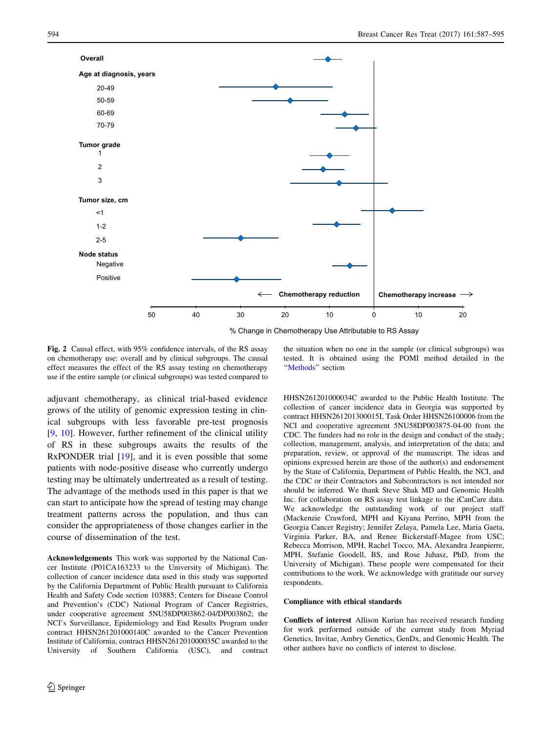<span id="page-7-0"></span>

% Change in Chemotherapy Use Attributable to RS Assay

Fig. 2 Causal effect, with 95% confidence intervals, of the RS assay on chemotherapy use: overall and by clinical subgroups. The causal effect measures the effect of the RS assay testing on chemotherapy use if the entire sample (or clinical subgroups) was tested compared to

adjuvant chemotherapy, as clinical trial-based evidence grows of the utility of genomic expression testing in clinical subgroups with less favorable pre-test prognosis [\[9](#page-8-0), [10](#page-8-0)]. However, further refinement of the clinical utility of RS in these subgroups awaits the results of the RxPONDER trial  $[19]$  $[19]$ , and it is even possible that some patients with node-positive disease who currently undergo testing may be ultimately undertreated as a result of testing. The advantage of the methods used in this paper is that we can start to anticipate how the spread of testing may change treatment patterns across the population, and thus can consider the appropriateness of those changes earlier in the course of dissemination of the test.

Acknowledgements This work was supported by the National Cancer Institute (P01CA163233 to the University of Michigan). The collection of cancer incidence data used in this study was supported by the California Department of Public Health pursuant to California Health and Safety Code section 103885; Centers for Disease Control and Prevention's (CDC) National Program of Cancer Registries, under cooperative agreement 5NU58DP003862-04/DP003862; the NCI's Surveillance, Epidemiology and End Results Program under contract HHSN261201000140C awarded to the Cancer Prevention Institute of California, contract HHSN261201000035C awarded to the University of Southern California (USC), and contract

the situation when no one in the sample (or clinical subgroups) was tested. It is obtained using the POMI method detailed in the "[Methods](#page-1-0)" section

HHSN261201000034C awarded to the Public Health Institute. The collection of cancer incidence data in Georgia was supported by contract HHSN261201300015I, Task Order HHSN26100006 from the NCI and cooperative agreement 5NU58DP003875-04-00 from the CDC. The funders had no role in the design and conduct of the study; collection, management, analysis, and interpretation of the data; and preparation, review, or approval of the manuscript. The ideas and opinions expressed herein are those of the author(s) and endorsement by the State of California, Department of Public Health, the NCI, and the CDC or their Contractors and Subcontractors is not intended nor should be inferred. We thank Steve Shak MD and Genomic Health Inc. for collaboration on RS assay test linkage to the iCanCare data. We acknowledge the outstanding work of our project staff (Mackenzie Crawford, MPH and Kiyana Perrino, MPH from the Georgia Cancer Registry; Jennifer Zelaya, Pamela Lee, Maria Gaeta, Virginia Parker, BA, and Renee Bickerstaff-Magee from USC; Rebecca Morrison, MPH, Rachel Tocco, MA, Alexandra Jeanpierre, MPH, Stefanie Goodell, BS, and Rose Juhasz, PhD, from the University of Michigan). These people were compensated for their contributions to the work. We acknowledge with gratitude our survey respondents.

#### Compliance with ethical standards

Conflicts of interest Allison Kurian has received research funding for work performed outside of the current study from Myriad Genetics, Invitae, Ambry Genetics, GenDx, and Genomic Health. The other authors have no conflicts of interest to disclose.